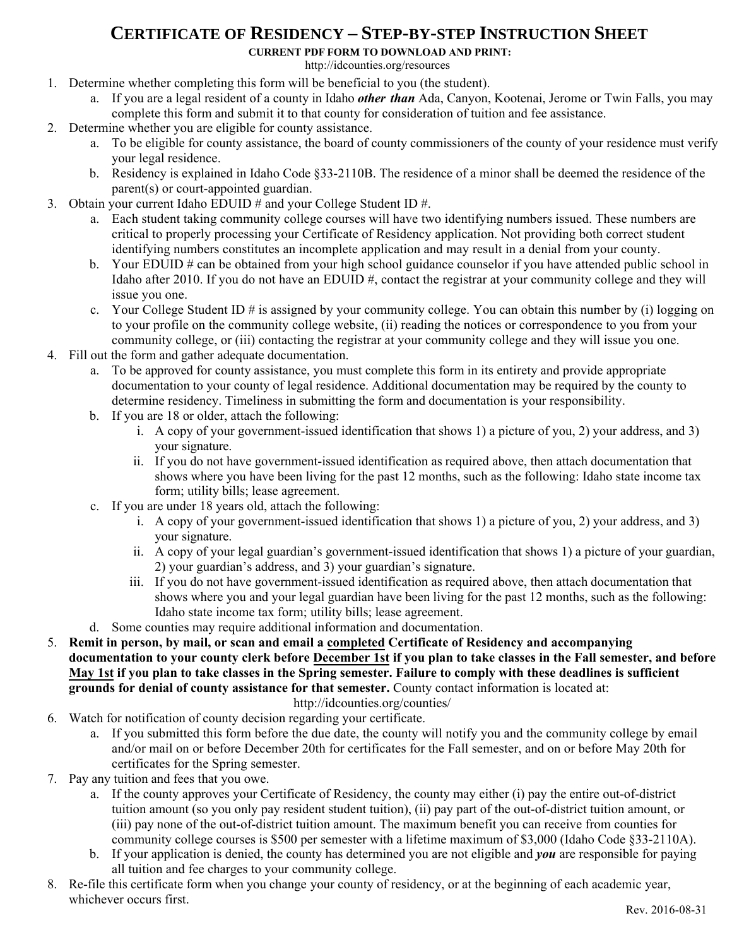## **CERTIFICATE OF RESIDENCY – STEP-BY-STEP INSTRUCTION SHEET**

**CURRENT PDF FORM TO DOWNLOAD AND PRINT:**

[http://idcounties.org/](http://idcounties.org/resources)resources

- 1. Determine whether completing this form will be beneficial to you (the student).
	- a. If you are a legal resident of a county in Idaho *other than* Ada, Canyon, Kootenai, Jerome or Twin Falls, you may complete this form and submit it to that county for consideration of tuition and fee assistance.
- 2. Determine whether you are eligible for county assistance.
	- a. To be eligible for county assistance, the board of county commissioners of the county of your residence must verify your legal residence.
	- b. Residency is explained in Idaho Code §33-2110B. The residence of a minor shall be deemed the residence of the parent(s) or court-appointed guardian.
- 3. Obtain your current Idaho EDUID # and your College Student ID #.
	- a. Each student taking community college courses will have two identifying numbers issued. These numbers are critical to properly processing your Certificate of Residency application. Not providing both correct student identifying numbers constitutes an incomplete application and may result in a denial from your county.
	- b. Your EDUID # can be obtained from your high school guidance counselor if you have attended public school in Idaho after 2010. If you do not have an EDUID #, contact the registrar at your community college and they will issue you one.
	- c. Your College Student ID # is assigned by your community college. You can obtain this number by (i) logging on to your profile on the community college website, (ii) reading the notices or correspondence to you from your community college, or (iii) contacting the registrar at your community college and they will issue you one.
- 4. Fill out the form and gather adequate documentation.
	- a. To be approved for county assistance, you must complete this form in its entirety and provide appropriate documentation to your county of legal residence. Additional documentation may be required by the county to determine residency. Timeliness in submitting the form and documentation is your responsibility.
	- b. If you are 18 or older, attach the following:
		- i. A copy of your government-issued identification that shows 1) a picture of you, 2) your address, and 3) your signature.
		- ii. If you do not have government-issued identification as required above, then attach documentation that shows where you have been living for the past 12 months, such as the following: Idaho state income tax form; utility bills; lease agreement.
	- c. If you are under 18 years old, attach the following:
		- i. A copy of your government-issued identification that shows 1) a picture of you, 2) your address, and 3) your signature.
		- ii. A copy of your legal guardian's government-issued identification that shows 1) a picture of your guardian, 2) your guardian's address, and 3) your guardian's signature.
		- iii. If you do not have government-issued identification as required above, then attach documentation that shows where you and your legal guardian have been living for the past 12 months, such as the following: Idaho state income tax form; utility bills; lease agreement.
	- d. Some counties may require additional information and documentation.
- 5. **Remit in person, by mail, or scan and email a completed Certificate of Residency and accompanying documentation to your county clerk before December 1st if you plan to take classes in the Fall semester, and before May 1st if you plan to take classes in the Spring semester. Failure to comply with these deadlines is sufficient grounds for denial of county assistance for that semester.** County contact information is located at:

<http://idcounties.org/counties/>

- 6. Watch for notification of county decision regarding your certificate.
	- a. If you submitted this form before the due date, the county will notify you and the community college by email and/or mail on or before December 20th for certificates for the Fall semester, and on or before May 20th for certificates for the Spring semester.
- 7. Pay any tuition and fees that you owe.
	- a. If the county approves your Certificate of Residency, the county may either (i) pay the entire out-of-district tuition amount (so you only pay resident student tuition), (ii) pay part of the out-of-district tuition amount, or (iii) pay none of the out-of-district tuition amount. The maximum benefit you can receive from counties for community college courses is \$500 per semester with a lifetime maximum of \$3,000 (Idaho Code §33-2110A).
	- b. If your application is denied, the county has determined you are not eligible and *you* are responsible for paying all tuition and fee charges to your community college.
- 8. Re-file this certificate form when you change your county of residency, or at the beginning of each academic year, whichever occurs first.